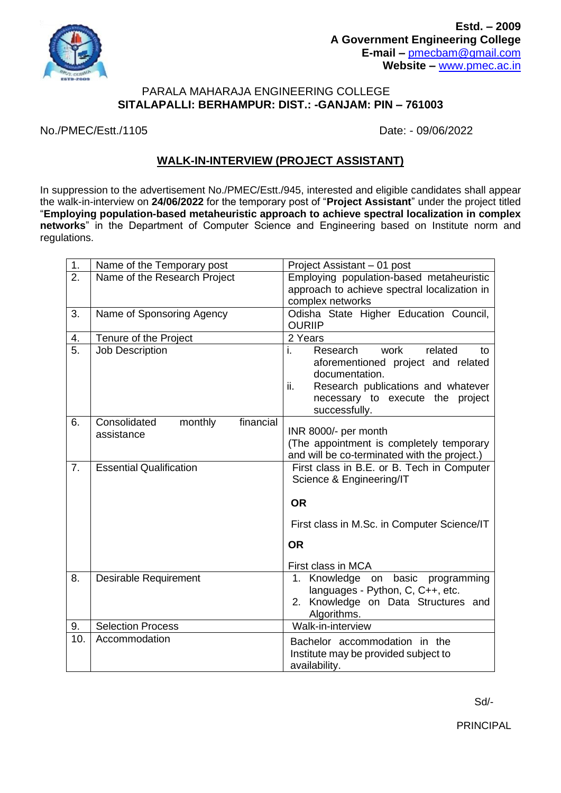

## PARALA MAHARAJA ENGINEERING COLLEGE **SITALAPALLI: BERHAMPUR: DIST.: -GANJAM: PIN – 761003**

No./PMEC/Estt./1105 Date: - 09/06/2022

## **WALK-IN-INTERVIEW (PROJECT ASSISTANT)**

In suppression to the advertisement No./PMEC/Estt./945, interested and eligible candidates shall appear the walk-in-interview on **24/06/2022** for the temporary post of "**Project Assistant**" under the project titled "**Employing population-based metaheuristic approach to achieve spectral localization in complex networks**" in the Department of Computer Science and Engineering based on Institute norm and regulations.

| 1.               | Name of the Temporary post                         | Project Assistant - 01 post                                                                                                                                                                       |
|------------------|----------------------------------------------------|---------------------------------------------------------------------------------------------------------------------------------------------------------------------------------------------------|
| $\overline{2}$ . | Name of the Research Project                       | Employing population-based metaheuristic<br>approach to achieve spectral localization in<br>complex networks                                                                                      |
| 3.               | Name of Sponsoring Agency                          | Odisha State Higher Education Council,<br><b>OURIIP</b>                                                                                                                                           |
| $\frac{4}{5}$    | Tenure of the Project                              | 2 Years                                                                                                                                                                                           |
|                  | Job Description                                    | work<br>related<br>Research<br>i.<br>to<br>aforementioned project and related<br>documentation.<br>Research publications and whatever<br>ii.<br>necessary to execute the project<br>successfully. |
| 6.               | financial<br>Consolidated<br>monthly<br>assistance | INR 8000/- per month<br>(The appointment is completely temporary<br>and will be co-terminated with the project.)                                                                                  |
| 7.               | <b>Essential Qualification</b>                     | First class in B.E. or B. Tech in Computer<br>Science & Engineering/IT<br><b>OR</b><br>First class in M.Sc. in Computer Science/IT<br><b>OR</b>                                                   |
|                  |                                                    | First class in MCA                                                                                                                                                                                |
| 8.               | <b>Desirable Requirement</b>                       | 1. Knowledge on basic programming<br>languages - Python, C, C++, etc.<br>2. Knowledge on Data Structures and<br>Algorithms.                                                                       |
| 9.               | <b>Selection Process</b>                           | Walk-in-interview                                                                                                                                                                                 |
| 10.              | Accommodation                                      | Bachelor accommodation in the<br>Institute may be provided subject to<br>availability.                                                                                                            |

Sd/-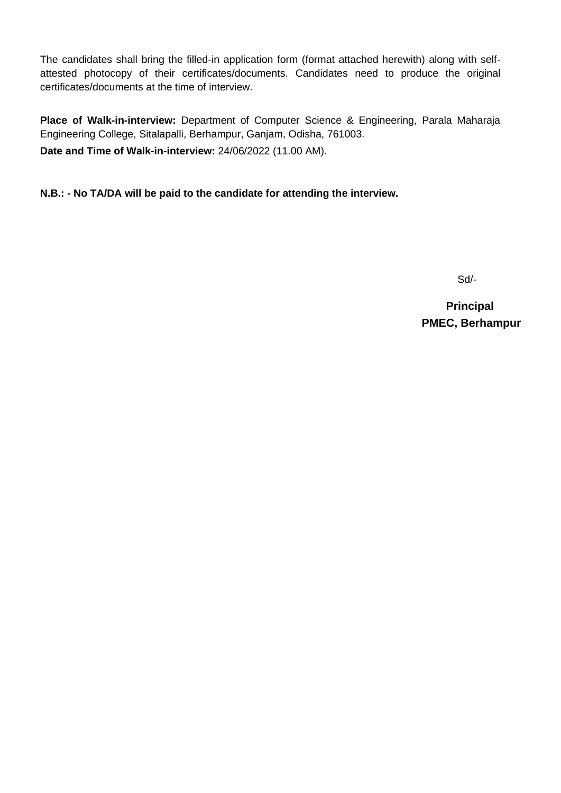The candidates shall bring the filled-in application form (format attached herewith) along with selfattested photocopy of their certificates/documents. Candidates need to produce the original certificates/documents at the time of interview.

**Place of Walk-in-interview:** Department of Computer Science & Engineering, Parala Maharaja Engineering College, Sitalapalli, Berhampur, Ganjam, Odisha, 761003.

**Date and Time of Walk-in-interview:** 24/06/2022 (11.00 AM).

**N.B.: - No TA/DA will be paid to the candidate for attending the interview.**

Sd/-

 **Principal PMEC, Berhampur**